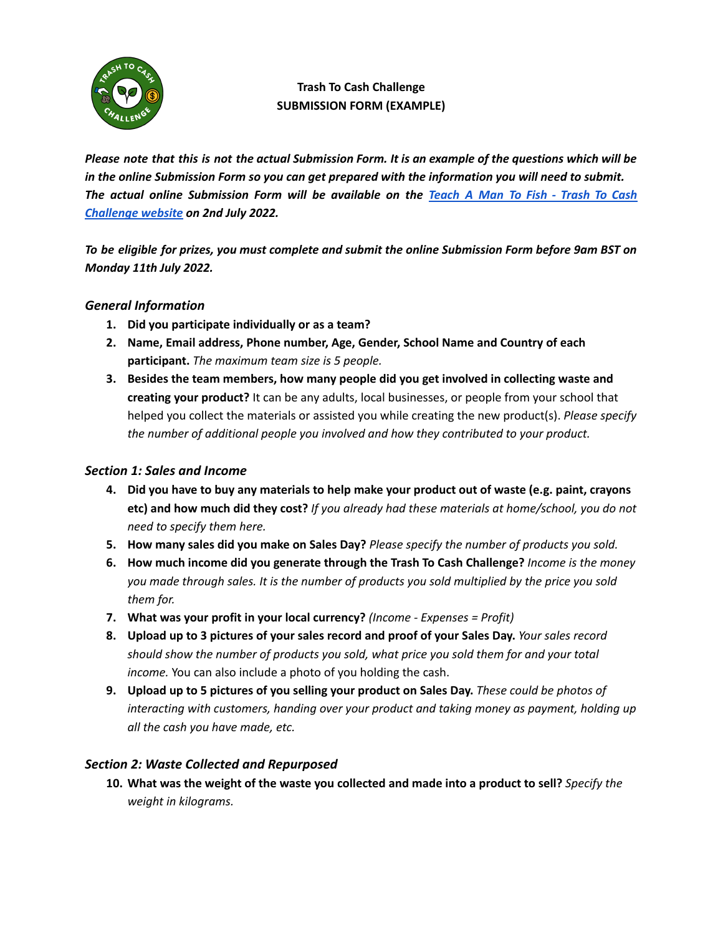

# **Trash To Cash Challenge SUBMISSION FORM (EXAMPLE)**

Please note that this is not the actual Submission Form. It is an example of the questions which will be in the online Submission Form so you can get prepared with the information you will need to submit. The actual online Submission Form will be available on the [Teach](https://www.teachamantofish.org.uk/trash-to-cash.html) A Man To Fish - Trash To Cash *[Challenge](https://www.teachamantofish.org.uk/trash-to-cash.html) website on 2nd July 2022.*

To be eligible for prizes, you must complete and submit the online Submission Form before 9am BST on *Monday 11th July 2022.*

## *General Information*

- **1. Did you participate individually or as a team?**
- **2. Name, Email address, Phone number, Age, Gender, School Name and Country of each participant.** *The maximum team size is 5 people.*
- **3. Besides the team members, how many people did you get involved in collecting waste and creating your product?** It can be any adults, local businesses, or people from your school that helped you collect the materials or assisted you while creating the new product(s). *Please specify the number of additional people you involved and how they contributed to your product.*

### *Section 1: Sales and Income*

- 4. Did you have to buy any materials to help make your product out of waste (e.g. paint, crayons **etc) and how much did they cost?** *If you already had these materials at home/school, you do not need to specify them here.*
- **5. How many sales did you make on Sales Day?** *Please specify the number of products you sold.*
- **6. How much income did you generate through the Trash To Cash Challenge?** *Income is the money you made through sales. It is the number of products you sold multiplied by the price you sold them for.*
- **7. What was your profit in your local currency?** *(Income - Expenses = Profit)*
- 8. Upload up to 3 pictures of your sales record and proof of your Sales Day. Your sales record *should show the number of products you sold, what price you sold them for and your total income.* You can also include a photo of you holding the cash.
- 9. Upload up to 5 pictures of you selling your product on Sales Day. These could be photos of *interacting with customers, handing over your product and taking money as payment, holding up all the cash you have made, etc.*

#### *Section 2: Waste Collected and Repurposed*

10. What was the weight of the waste you collected and made into a product to sell? Specify the *weight in kilograms.*